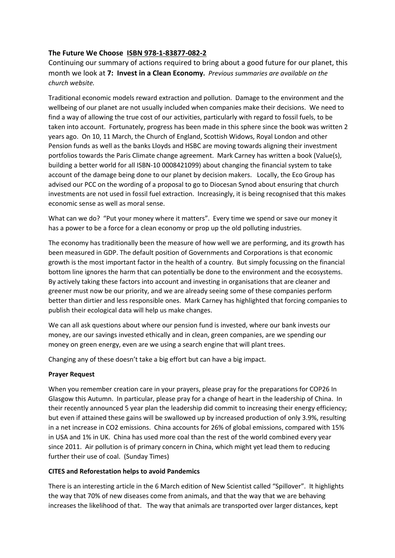# **The Future We Choose ISBN 978-1-83877-082-2**

Continuing our summary of actions required to bring about a good future for our planet, this month we look at **7: Invest in a Clean Economy.** *Previous summaries are available on the church website.*

Traditional economic models reward extraction and pollution. Damage to the environment and the wellbeing of our planet are not usually included when companies make their decisions. We need to find a way of allowing the true cost of our activities, particularly with regard to fossil fuels, to be taken into account. Fortunately, progress has been made in this sphere since the book was written 2 years ago. On 10, 11 March, the Church of England, Scottish Widows, Royal London and other Pension funds as well as the banks Lloyds and HSBC are moving towards aligning their investment portfolios towards the Paris Climate change agreement. Mark Carney has written a book (Value(s), building a better world for all ISBN-10 0008421099) about changing the financial system to take account of the damage being done to our planet by decision makers. Locally, the Eco Group has advised our PCC on the wording of a proposal to go to Diocesan Synod about ensuring that church investments are not used in fossil fuel extraction. Increasingly, it is being recognised that this makes economic sense as well as moral sense.

What can we do? "Put your money where it matters". Every time we spend or save our money it has a power to be a force for a clean economy or prop up the old polluting industries.

The economy has traditionally been the measure of how well we are performing, and its growth has been measured in GDP. The default position of Governments and Corporations is that economic growth is the most important factor in the health of a country. But simply focussing on the financial bottom line ignores the harm that can potentially be done to the environment and the ecosystems. By actively taking these factors into account and investing in organisations that are cleaner and greener must now be our priority, and we are already seeing some of these companies perform better than dirtier and less responsible ones. Mark Carney has highlighted that forcing companies to publish their ecological data will help us make changes.

We can all ask questions about where our pension fund is invested, where our bank invests our money, are our savings invested ethically and in clean, green companies, are we spending our money on green energy, even are we using a search engine that will plant trees.

Changing any of these doesn't take a big effort but can have a big impact.

## **Prayer Request**

When you remember creation care in your prayers, please pray for the preparations for COP26 In Glasgow this Autumn. In particular, please pray for a change of heart in the leadership of China. In their recently announced 5 year plan the leadership did commit to increasing their energy efficiency; but even if attained these gains will be swallowed up by increased production of only 3.9%, resulting in a net increase in CO2 emissions. China accounts for 26% of global emissions, compared with 15% in USA and 1% in UK. China has used more coal than the rest of the world combined every year since 2011. Air pollution is of primary concern in China, which might yet lead them to reducing further their use of coal. (Sunday Times)

## **CITES and Reforestation helps to avoid Pandemics**

There is an interesting article in the 6 March edition of New Scientist called "Spillover". It highlights the way that 70% of new diseases come from animals, and that the way that we are behaving increases the likelihood of that. The way that animals are transported over larger distances, kept